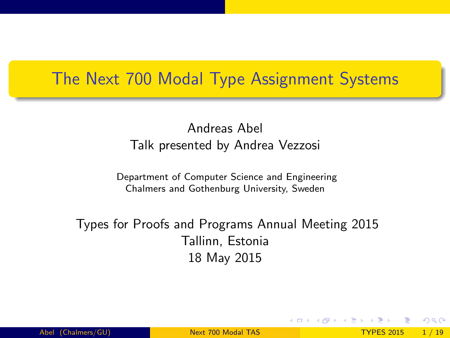#### The Next 700 Modal Type Assignment Systems

#### Andreas Abel Talk presented by Andrea Vezzosi

Department of Computer Science and Engineering Chalmers and Gothenburg University, Sweden

Types for Proofs and Programs Annual Meeting 2015 Tallinn, Estonia 18 May 2015

<span id="page-0-0"></span> $QQQ$ 

イロト イ母 ト イヨ ト イヨ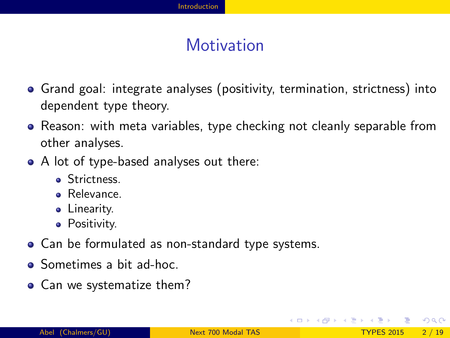### **Motivation**

- Grand goal: integrate analyses (positivity, termination, strictness) into dependent type theory.
- Reason: with meta variables, type checking not cleanly separable from other analyses.
- A lot of type-based analyses out there:
	- Strictness.
	- Relevance.
	- **.** Linearity.
	- **•** Positivity.
- Can be formulated as non-standard type systems.
- Sometimes a bit ad-hoc.
- Can we systematize them?

<span id="page-1-0"></span> $QQQ$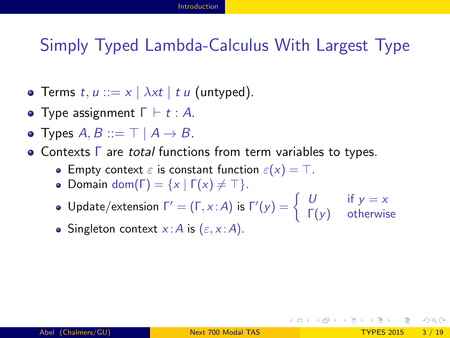#### Simply Typed Lambda-Calculus With Largest Type

- Terms  $t, u ::= x \mid \lambda xt \mid t u$  (untyped).
- **•** Type assignment  $\Gamma \vdash t : A$ .
- Types  $A, B ::= \top \mid A \rightarrow B$ .
- Contexts Γ are total functions from term variables to types.
	- **Empty context**  $\varepsilon$  is constant function  $\varepsilon(x) = \top$ .
	- Domain dom( $\Gamma$ ) = { $x | \Gamma(x) \neq \top$  }.
	- Update/extension  $\Gamma' = (\Gamma, x : A)$  is  $\Gamma'(y) = \begin{cases} U & \text{if } y = x \\ \Gamma'(x) & \text{otherwise} \end{cases}$  $Γ(y)$  otherwise
	- Singleton context  $x : A$  is  $(\varepsilon, x : A)$ .

<span id="page-2-0"></span> $QQQ$ 

イロメ イ何 メイヨメ イヨメーヨ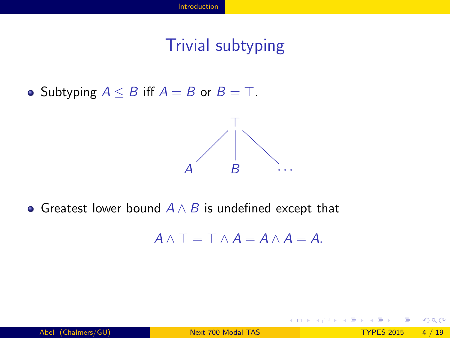### Trivial subtyping

• Subtyping  $A \leq B$  iff  $A = B$  or  $B = T$ .



• Greatest lower bound  $A \wedge B$  is undefined except that

 $A \wedge T = T \wedge A = A \wedge A = A$ .

**4 ロ ▶ 4 包** 

<span id="page-3-0"></span> $QQQ$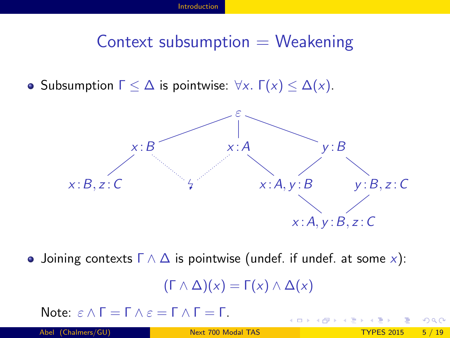#### Context subsumption  $=$  Weakening

• Subsumption  $\Gamma \leq \Delta$  is pointwise:  $\forall x$ .  $\Gamma(x) \leq \Delta(x)$ .



• Joining contexts  $\Gamma \wedge \Delta$  is pointwise (undef. if undef. at some x):

$$
(\Gamma \wedge \Delta)(x) = \Gamma(x) \wedge \Delta(x)
$$

4 0 3 4

Note:  $ε \wedge Γ = Γ \wedge ε = Γ \wedge Γ = Γ$ .

<span id="page-4-0"></span>つひい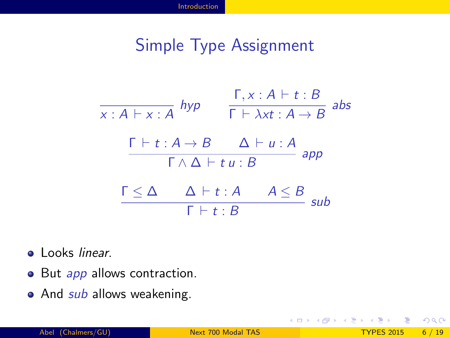#### Simple Type Assignment

$$
\frac{\Gamma, x : A \vdash t : B}{\Gamma \vdash \lambda x t : A \rightarrow B} \text{ abs}
$$
\n
$$
\frac{\Gamma \vdash t : A \rightarrow B \quad \Delta \vdash u : A}{\Gamma \land \Delta \vdash t u : B} \text{ app}
$$
\n
$$
\frac{\Gamma \leq \Delta \quad \Delta \vdash t : A \quad A \leq B}{\Gamma \vdash t : B} \text{ sub}
$$

- **•** Looks linear.
- But app allows contraction.
- And *sub* allows weakening.

4 0 8

- 4 国 米

<span id="page-5-0"></span> $299$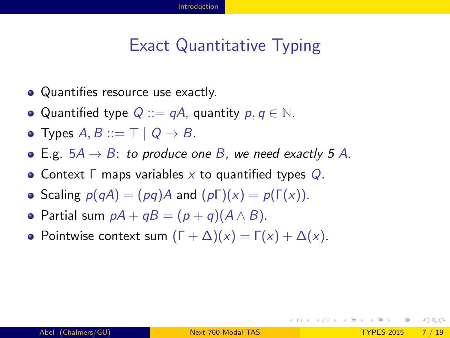### Exact Quantitative Typing

- Quantifies resource use exactly.
- Quantified type  $Q ::= qA$ , quantity  $p, q \in \mathbb{N}$ .
- Types  $A, B ::= \top | Q \rightarrow B$ .
- E.g.  $5A \rightarrow B$ : to produce one B, we need exactly 5 A.
- Context  $\Gamma$  maps variables x to quantified types  $Q$ .
- Scaling  $p(qA) = (pq)A$  and  $(p\Gamma)(x) = p(\Gamma(x))$ .
- Partial sum  $pA + qB = (p + q)(A \wedge B)$ .
- Pointwise context sum  $(\Gamma + \Delta)(x) = \Gamma(x) + \Delta(x)$ .

<span id="page-6-0"></span>KED KAP KED KED E VAA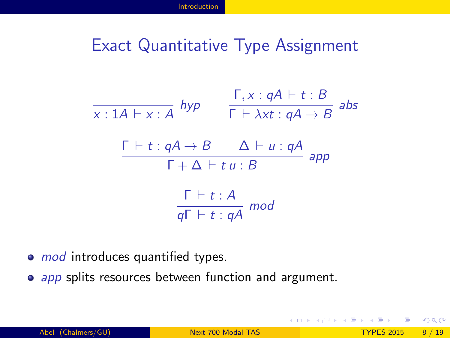#### Exact Quantitative Type Assignment

$$
\frac{\Gamma, x : qA \vdash t : B}{\Gamma \vdash \lambda xt : qA \rightarrow B} \text{ abs}
$$
\n
$$
\frac{\Gamma \vdash t : qA \rightarrow B \quad \Delta \vdash u : qA}{\Gamma + \Delta \vdash t u : B} \text{ app}
$$
\n
$$
\frac{\Gamma \vdash t : A}{q\Gamma \vdash t : qA} \text{ mod}
$$

- mod introduces quantified types.
- app splits resources between function and argument.

<span id="page-7-0"></span> $\Omega$ 

**K ロ ト K 何 ト K ヨ ト K**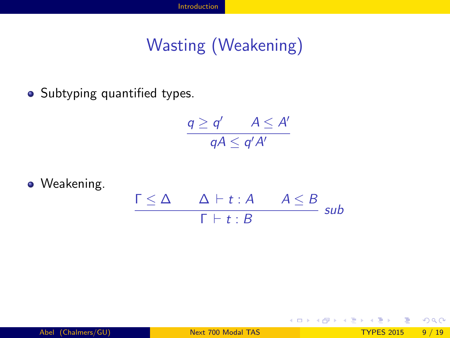# Wasting (Weakening)

• Subtyping quantified types.

$$
\frac{q \geq q'}{qA \leq q'A'} \leq A'
$$

**•** Weakening.

$$
\frac{\Gamma \leq \Delta \qquad \Delta \vdash t : A \qquad A \leq B}{\Gamma \vdash t : B} \ \text{sub}
$$

<span id="page-8-0"></span> $\Omega$ 

 $4$  ロ }  $4$   $4$   $9$  }  $4$   $\equiv$  }  $-4$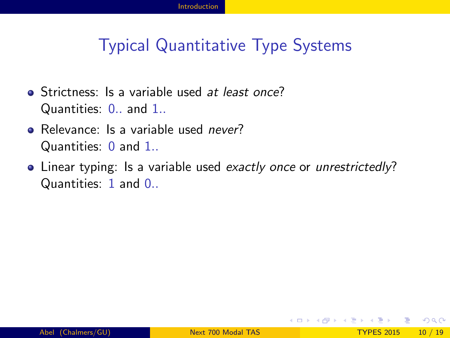### Typical Quantitative Type Systems

- Strictness: Is a variable used at least once? Quantities: 0.. and 1..
- Relevance: Is a variable used *never*? Quantities: 0 and 1..
- Linear typing: Is a variable used exactly once or unrestrictedly? Quantities: 1 and 0..

<span id="page-9-0"></span> $\Omega$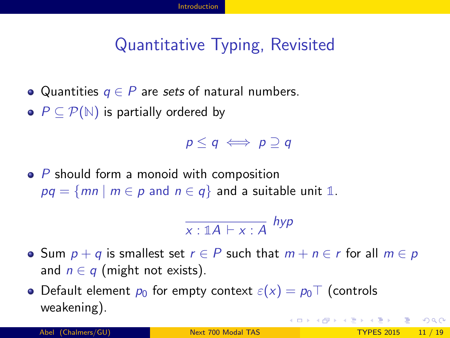## Quantitative Typing, Revisited

• Quantities  $q \in P$  are sets of natural numbers.

•  $P \subseteq \mathcal{P}(\mathbb{N})$  is partially ordered by

 $p < q \iff p \supset q$ 

 $\bullet$  P should form a monoid with composition  $pq = \{mn \mid m \in p \text{ and } n \in q\}$  and a suitable unit 1.

<span id="page-10-0"></span>
$$
\frac{}{x:\mathbb{1}A\vdash x:A} \; \mathit{hyp}
$$

• Sum  $p + q$  is smallest set  $r \in P$  such that  $m + n \in r$  for all  $m \in p$ and  $n \in q$  (might not exists).

• Default element  $p_0$  for empty context  $\varepsilon(x) = p_0 \top$  (controls weakening). **KOD KARD KED KED E VAN**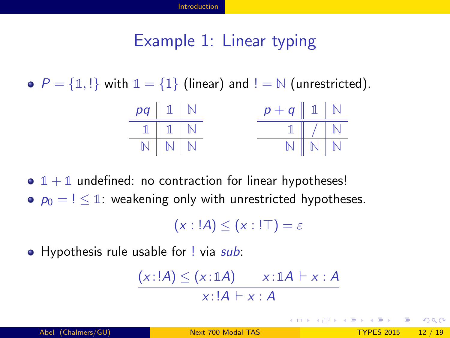#### Example 1: Linear typing

•  $P = \{\mathbb{1}, \mathbb{1}\}\$  with  $\mathbb{1} = \{1\}$  (linear) and  $\mathbb{1} = \mathbb{N}$  (unrestricted).



 $\bullet$   $1 + 1$  undefined: no contraction for linear hypotheses!

 $p_0 = \frac{1}{1}$ : weakening only with unrestricted hypotheses.

 $(x : !A) < (x : !T) = \varepsilon$ 

• Hypothesis rule usable for ! via sub:

$$
\frac{(x:!A) \leq (x:1A) \qquad x:1A \vdash x:A}{x:!A \vdash x:A}
$$

<span id="page-11-0"></span> $\Omega$ 

イロト イ何 トイヨ トイヨ トー ヨ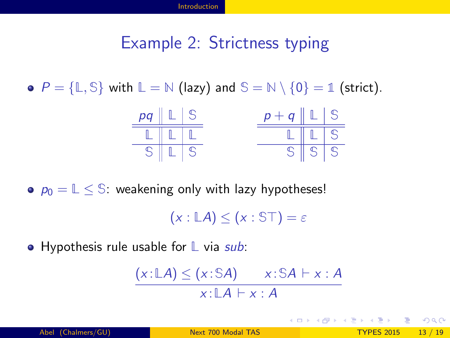#### Example 2: Strictness typing

•  $P = \{\mathbb{L}, \mathbb{S}\}\$  with  $\mathbb{L} = \mathbb{N}$  (lazy) and  $\mathbb{S} = \mathbb{N} \setminus \{0\} = \mathbb{1}$  (strict).



 $p_0 = \mathbb{L} \leq \mathbb{S}$ : weakening only with lazy hypotheses!

 $(x : \mathbb{L}A) \leq (x : \mathbb{ST}) = \varepsilon$ 

**•** Hypothesis rule usable for L via sub:

$$
\frac{(x:\mathbb{L}A)\leq (x:\mathbb{S}A)\qquad x:\mathbb{S}A\vdash x:A}{x:\mathbb{L}A\vdash x:A}
$$

<span id="page-12-0"></span>K □ ▶ K @ ▶ K 로 ▶ K 로 ▶ \_ 로 \_ K 9 Q @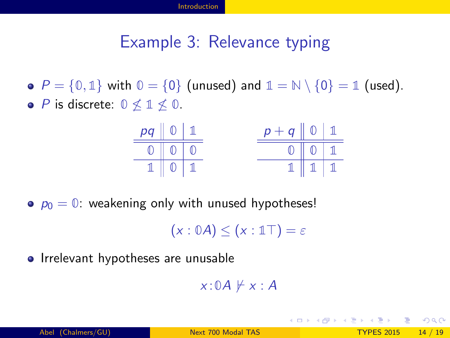#### Example 3: Relevance typing

•  $P = \{0, 1\}$  with  $0 = \{0\}$  (unused) and  $1 = \mathbb{N} \setminus \{0\} = 1$  (used). **•** *P* is discrete:  $0 \nless 1 \nless 0$ .



 $p_0 = 0$ : weakening only with unused hypotheses!

 $(x : \mathbb{0}A) \leq (x : \mathbb{1}T) = \varepsilon$ 

• Irrelevant hypotheses are unusable

 $x : \mathbb{0}A \not\models x : A$ 

<span id="page-13-0"></span>イロト イ母 トイミト イミト ニヨー りんぴ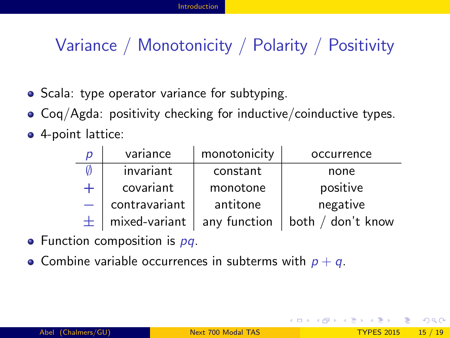## Variance / Monotonicity / Polarity / Positivity

- Scala: type operator variance for subtyping.
- Coq/Agda: positivity checking for inductive/coinductive types.
- 4-point lattice:

| p | variance      | monotonicity | occurrence        |
|---|---------------|--------------|-------------------|
|   | invariant     | constant     | none              |
|   | covariant     | monotone     | positive          |
|   | contravariant | antitone     | negative          |
|   | mixed-variant | any function | both / don't know |

- $\bullet$  Function composition is  $pq$ .
- Combine variable occurrences in subterms with  $p + q$ .

<span id="page-14-0"></span> $\Omega$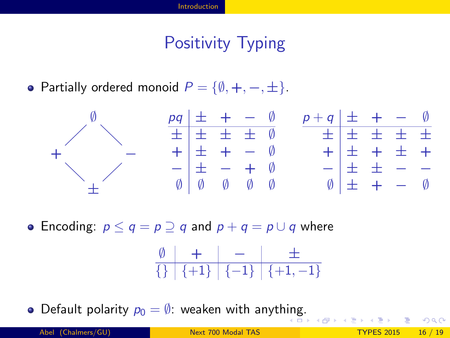## Positivity Typing

• Partially ordered monoid  $P = \{\emptyset, +, -, \pm\}.$ 



• Encoding:  $p \le q = p \supseteq q$  and  $p + q = p \cup q$  where

<span id="page-15-0"></span>
$$
\begin{array}{c|c|c|c|c} \emptyset & + & - & \pm \\ \hline \{\} & \{+1\} & \{-1\} & \{+1,-1\} \end{array}
$$

 $\bullet$  Default polarity  $p_0 = \emptyset$ : weaken with anyth[ing](#page-14-0)[.](#page-16-0)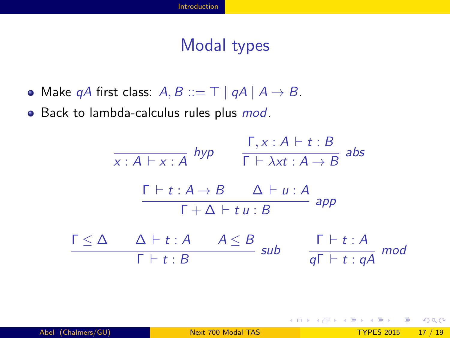#### Modal types

• Make qA first class:  $A, B ::= \top | qA | A \rightarrow B$ .

• Back to lambda-calculus rules plus *mod*.



<span id="page-16-0"></span>イロト イ母 トイミト イミト ニヨー りんぴ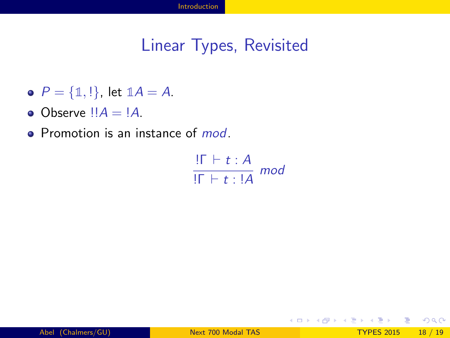#### Linear Types, Revisited

- $P = \{1, 1\}$ , let  $1A = A$ .
- Observe  $!!A = !A$ .
- Promotion is an instance of *mod*.

$$
\frac{! \Gamma \vdash t : A}{! \Gamma \vdash t : !A \mod t}
$$

<span id="page-17-0"></span> $\Omega$ 

 $4$  ロ }  $4$   $4$   $9$  }  $4$   $\equiv$  }  $-4$